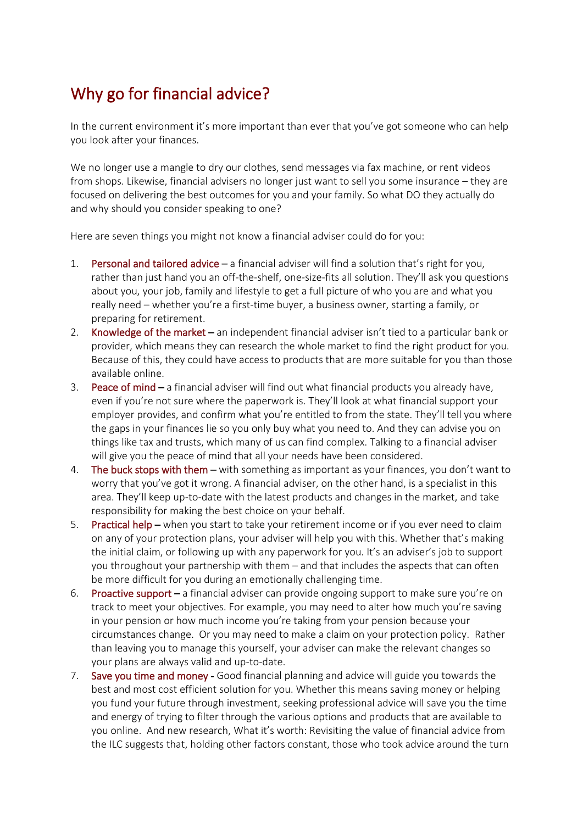# Why go for financial advice?

In the current environment it's more important than ever that you've got someone who can help you look after your finances.

We no longer use a mangle to dry our clothes, send messages via fax machine, or rent videos from shops. Likewise, financial advisers no longer just want to sell you some insurance – they are focused on delivering the best outcomes for you and your family. So what DO they actually do and why should you consider speaking to one?

Here are seven things you might not know a financial adviser could do for you:

- 1. Personal and tailored advice a financial adviser will find a solution that's right for you, rather than just hand you an off-the-shelf, one-size-fits all solution. They'll ask you questions about you, your job, family and lifestyle to get a full picture of who you are and what you really need – whether you're a first-time buyer, a business owner, starting a family, or preparing for retirement.
- 2. Knowledge of the market an independent financial adviser isn't tied to a particular bank or provider, which means they can research the whole market to find the right product for you. Because of this, they could have access to products that are more suitable for you than those available online.
- 3. Peace of mind a financial adviser will find out what financial products you already have, even if you're not sure where the paperwork is. They'll look at what financial support your employer provides, and confirm what you're entitled to from the state. They'll tell you where the gaps in your finances lie so you only buy what you need to. And they can advise you on things like tax and trusts, which many of us can find complex. Talking to a financial adviser will give you the peace of mind that all your needs have been considered.
- 4. The buck stops with them with something as important as your finances, you don't want to worry that you've got it wrong. A financial adviser, on the other hand, is a specialist in this area. They'll keep up-to-date with the latest products and changes in the market, and take responsibility for making the best choice on your behalf.
- 5. Practical help when you start to take your retirement income or if you ever need to claim on any of your protection plans, your adviser will help you with this. Whether that's making the initial claim, or following up with any paperwork for you. It's an adviser's job to support you throughout your partnership with them – and that includes the aspects that can often be more difficult for you during an emotionally challenging time.
- 6. Proactive support a financial adviser can provide ongoing support to make sure you're on track to meet your objectives. For example, you may need to alter how much you're saving in your pension or how much income you're taking from your pension because your circumstances change. Or you may need to make a claim on your protection policy. Rather than leaving you to manage this yourself, your adviser can make the relevant changes so your plans are always valid and up-to-date.
- 7. Save you time and money Good financial planning and advice will guide you towards the best and most cost efficient solution for you. Whether this means saving money or helping you fund your future through investment, seeking professional advice will save you the time and energy of trying to filter through the various options and products that are available to you online. And new research, What it's worth: Revisiting the value of financial advice from the ILC suggests that, holding other factors constant, those who took advice around the turn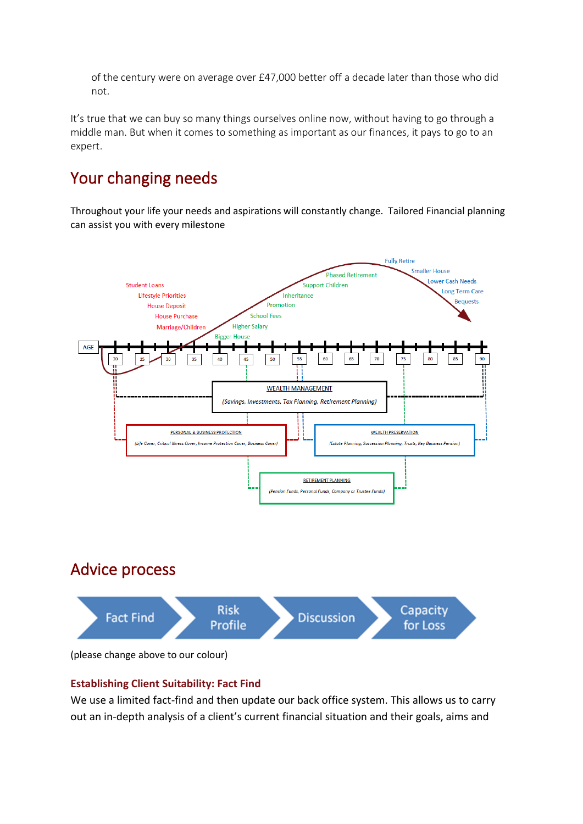of the century were on average over £47,000 better off a decade later than those who did not.

It's true that we can buy so many things ourselves online now, without having to go through a middle man. But when it comes to something as important as our finances, it pays to go to an expert.

# Your changing needs

Throughout your life your needs and aspirations will constantly change. Tailored Financial planning can assist you with every milestone



#### **Establishing Client Suitability: Fact Find**

We use a limited fact-find and then update our back office system. This allows us to carry out an in-depth analysis of a client's current financial situation and their goals, aims and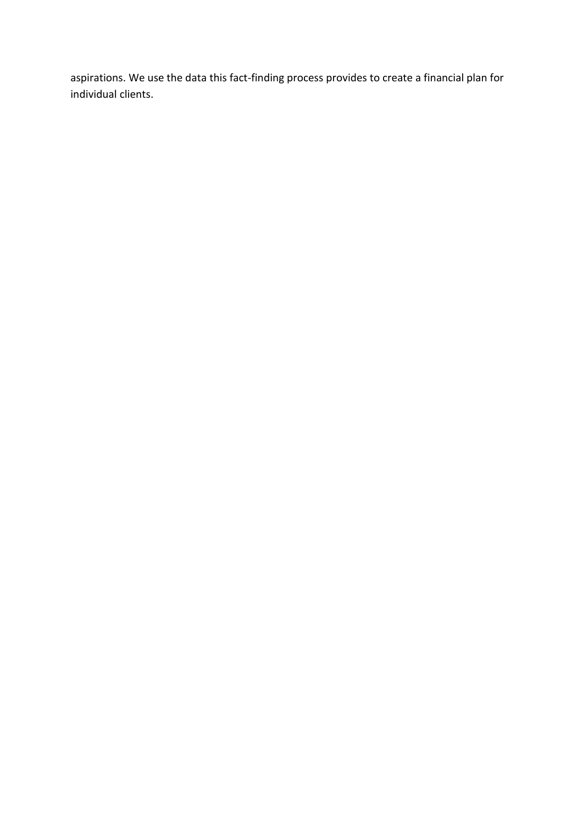aspirations. We use the data this fact-finding process provides to create a financial plan for individual clients.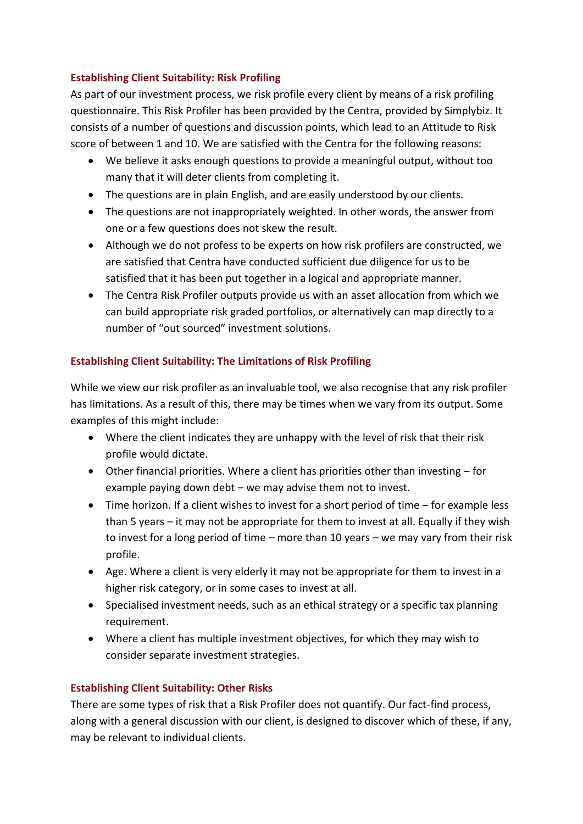## **Establishing Client Suitability: Risk Profiling**

As part of our investment process, we risk profile every client by means of a risk profiling questionnaire. This Risk Profiler has been provided by the Centra, provided by Simplybiz. It consists of a number of questions and discussion points, which lead to an Attitude to Risk score of between 1 and 10. We are satisfied with the Centra for the following reasons:

- We believe it asks enough questions to provide a meaningful output, without too many that it will deter clients from completing it.
- The questions are in plain English, and are easily understood by our clients.
- The questions are not inappropriately weighted. In other words, the answer from one or a few questions does not skew the result.
- Although we do not profess to be experts on how risk profilers are constructed, we are satisfied that Centra have conducted sufficient due diligence for us to be satisfied that it has been put together in a logical and appropriate manner.
- The Centra Risk Profiler outputs provide us with an asset allocation from which we can build appropriate risk graded portfolios, or alternatively can map directly to a number of "out sourced" investment solutions.

## **Establishing Client Suitability: The Limitations of Risk Profiling**

While we view our risk profiler as an invaluable tool, we also recognise that any risk profiler has limitations. As a result of this, there may be times when we vary from its output. Some examples of this might include:

- Where the client indicates they are unhappy with the level of risk that their risk profile would dictate.
- Other financial priorities. Where a client has priorities other than investing for example paying down debt – we may advise them not to invest.
- Time horizon. If a client wishes to invest for a short period of time for example less than 5 years – it may not be appropriate for them to invest at all. Equally if they wish to invest for a long period of time – more than 10 years – we may vary from their risk profile.
- Age. Where a client is very elderly it may not be appropriate for them to invest in a higher risk category, or in some cases to invest at all.
- Specialised investment needs, such as an ethical strategy or a specific tax planning requirement.
- Where a client has multiple investment objectives, for which they may wish to consider separate investment strategies.

#### **Establishing Client Suitability: Other Risks**

There are some types of risk that a Risk Profiler does not quantify. Our fact-find process, along with a general discussion with our client, is designed to discover which of these, if any, may be relevant to individual clients.